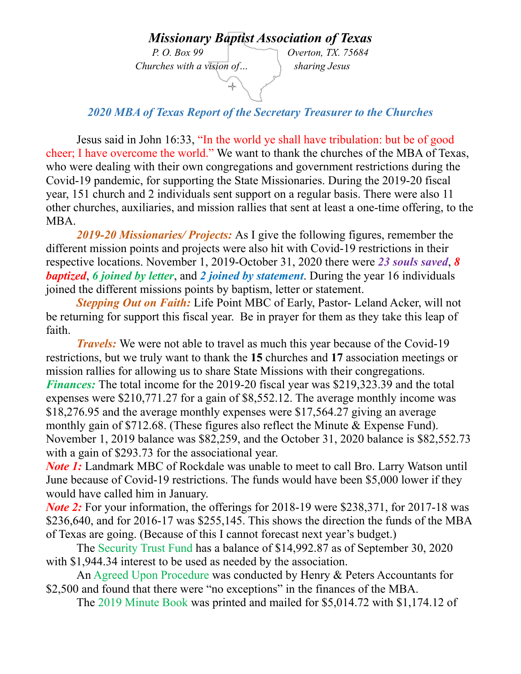## *Missionary Baptist Association of Texas*

 *Churches with a vision of… sharing Jesus* 

*P. O. Box 99 Overton, TX. 75684* 

*2020 MBA of Texas Report of the Secretary Treasurer to the Churches* 

ų.

Jesus said in John 16:33, "In the world ye shall have tribulation: but be of good cheer; I have overcome the world." We want to thank the churches of the MBA of Texas, who were dealing with their own congregations and government restrictions during the Covid-19 pandemic, for supporting the State Missionaries. During the 2019-20 fiscal year, 151 church and 2 individuals sent support on a regular basis. There were also 11 other churches, auxiliaries, and mission rallies that sent at least a one-time offering, to the MBA.

*2019-20 Missionaries/ Projects:* As I give the following figures, remember the different mission points and projects were also hit with Covid-19 restrictions in their respective locations. November 1, 2019-October 31, 2020 there were *23 souls saved*, *8 baptized*, *6 joined by letter*, and *2 joined by statement*. During the year 16 individuals joined the different missions points by baptism, letter or statement.

*Stepping Out on Faith:* Life Point MBC of Early, Pastor- Leland Acker, will not be returning for support this fiscal year. Be in prayer for them as they take this leap of faith.

*Travels:* We were not able to travel as much this year because of the Covid-19 restrictions, but we truly want to thank the **15** churches and **17** association meetings or mission rallies for allowing us to share State Missions with their congregations. *Finances:* The total income for the 2019-20 fiscal year was \$219,323.39 and the total expenses were \$210,771.27 for a gain of \$8,552.12. The average monthly income was \$18,276.95 and the average monthly expenses were \$17,564.27 giving an average monthly gain of \$712.68. (These figures also reflect the Minute & Expense Fund). November 1, 2019 balance was \$82,259, and the October 31, 2020 balance is \$82,552.73 with a gain of \$293.73 for the associational year.

*Note 1*: Landmark MBC of Rockdale was unable to meet to call Bro. Larry Watson until June because of Covid-19 restrictions. The funds would have been \$5,000 lower if they would have called him in January.

*Note 2*: For your information, the offerings for 2018-19 were \$238,371, for 2017-18 was \$236,640, and for 2016-17 was \$255,145. This shows the direction the funds of the MBA of Texas are going. (Because of this I cannot forecast next year's budget.)

 The Security Trust Fund has a balance of \$14,992.87 as of September 30, 2020 with \$1,944.34 interest to be used as needed by the association.

 An Agreed Upon Procedure was conducted by Henry & Peters Accountants for \$2,500 and found that there were "no exceptions" in the finances of the MBA.

The 2019 Minute Book was printed and mailed for \$5,014.72 with \$1,174.12 of